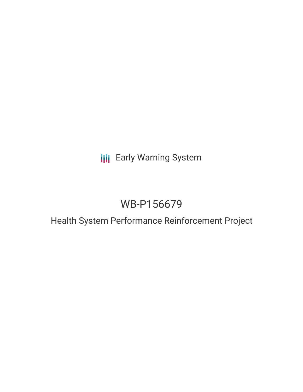**III** Early Warning System

# WB-P156679

## Health System Performance Reinforcement Project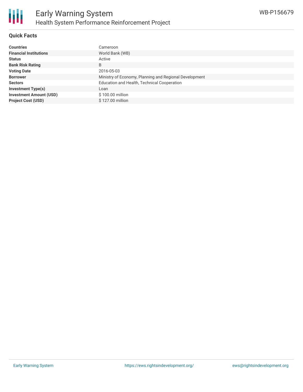

#### **Quick Facts**

| <b>Countries</b>               | Cameroon                                               |
|--------------------------------|--------------------------------------------------------|
| <b>Financial Institutions</b>  | World Bank (WB)                                        |
| <b>Status</b>                  | Active                                                 |
| <b>Bank Risk Rating</b>        | B                                                      |
| <b>Voting Date</b>             | 2016-05-03                                             |
| <b>Borrower</b>                | Ministry of Economy, Planning and Regional Development |
| <b>Sectors</b>                 | Education and Health, Technical Cooperation            |
| <b>Investment Type(s)</b>      | Loan                                                   |
| <b>Investment Amount (USD)</b> | \$100.00 million                                       |
| <b>Project Cost (USD)</b>      | \$127.00 million                                       |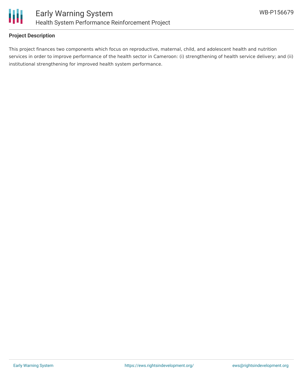

#### **Project Description**

This project finances two components which focus on reproductive, maternal, child, and adolescent health and nutrition services in order to improve performance of the health sector in Cameroon: (i) strengthening of health service delivery; and (ii) institutional strengthening for improved health system performance.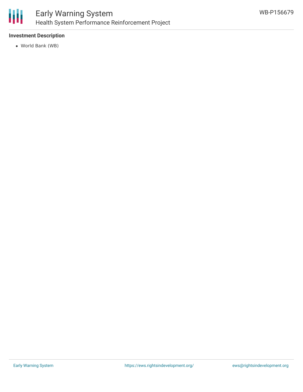

#### **Investment Description**

World Bank (WB)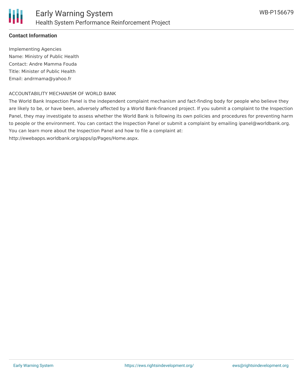#### **Contact Information**

Implementing Agencies Name: Ministry of Public Health Contact: Andre Mamma Fouda Title: Minister of Public Health Email: andrmama@yahoo.fr

#### ACCOUNTABILITY MECHANISM OF WORLD BANK

The World Bank Inspection Panel is the independent complaint mechanism and fact-finding body for people who believe they are likely to be, or have been, adversely affected by a World Bank-financed project. If you submit a complaint to the Inspection Panel, they may investigate to assess whether the World Bank is following its own policies and procedures for preventing harm to people or the environment. You can contact the Inspection Panel or submit a complaint by emailing ipanel@worldbank.org. You can learn more about the Inspection Panel and how to file a complaint at:

http://ewebapps.worldbank.org/apps/ip/Pages/Home.aspx.